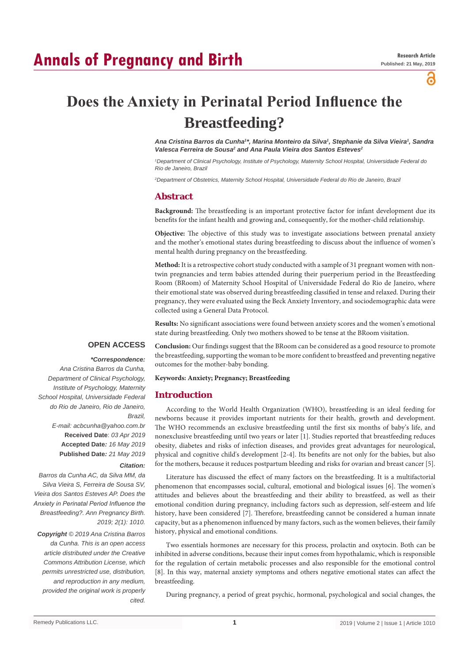# **Annals of Pregnancy and Birth**

്

# **Does the Anxiety in Perinatal Period Influence the Breastfeeding?**

*Ana Cristina Barros da Cunha1 \*, Marina Monteiro da Silva1 , Stephanie da Silva Vieira1 , Sandra*  Valesca Ferreira de Sousa<sup>2</sup> and Ana Paula Vieira dos Santos Esteves<sup>2</sup>

*1 Department of Clinical Psychology, Institute of Psychology, Maternity School Hospital, Universidade Federal do Rio de Janeiro, Brazil*

*2 Department of Obstetrics, Maternity School Hospital, Universidade Federal do Rio de Janeiro, Brazil*

# **Abstract**

**Background:** The breastfeeding is an important protective factor for infant development due its benefits for the infant health and growing and, consequently, for the mother-child relationship.

**Objective:** The objective of this study was to investigate associations between prenatal anxiety and the mother's emotional states during breastfeeding to discuss about the influence of women's mental health during pregnancy on the breastfeeding.

**Method:** It is a retrospective cohort study conducted with a sample of 31 pregnant women with nontwin pregnancies and term babies attended during their puerperium period in the Breastfeeding Room (BRoom) of Maternity School Hospital of Universidade Federal do Rio de Janeiro, where their emotional state was observed during breastfeeding classified in tense and relaxed. During their pregnancy, they were evaluated using the Beck Anxiety Inventory, and sociodemographic data were collected using a General Data Protocol.

**Results:** No significant associations were found between anxiety scores and the women's emotional state during breastfeeding. Only two mothers showed to be tense at the BRoom visitation.

# **OPEN ACCESS**

### *\*Correspondence:*

*Ana Cristina Barros da Cunha, Department of Clinical Psychology, Institute of Psychology, Maternity School Hospital, Universidade Federal do Rio de Janeiro, Rio de Janeiro, Brazil, E-mail: acbcunha@yahoo.com.br* **Received Date**: *03 Apr 2019* **Accepted Date***: 16 May 2019* **Published Date***: 21 May 2019 Citation:* 

*Barros da Cunha AC, da Silva MM, da Silva Vieira S, Ferreira de Sousa SV, Vieira dos Santos Esteves AP. Does the Anxiety in Perinatal Period Influence the Breastfeeding?. Ann Pregnancy Birth. 2019; 2(1): 1010.*

*Copyright © 2019 Ana Cristina Barros da Cunha. This is an open access article distributed under the Creative Commons Attribution License, which permits unrestricted use, distribution, and reproduction in any medium, provided the original work is properly cited.*

**Conclusion:** Our findings suggest that the BRoom can be considered as a good resource to promote the breastfeeding, supporting the woman to be more confident to breastfeed and preventing negative outcomes for the mother-baby bonding.

## **Keywords: Anxiety; Pregnancy; Breastfeeding**

# **Introduction**

According to the World Health Organization (WHO), breastfeeding is an ideal feeding for newborns because it provides important nutrients for their health, growth and development. The WHO recommends an exclusive breastfeeding until the first six months of baby's life, and nonexclusive breastfeeding until two years or later [1]. Studies reported that breastfeeding reduces obesity, diabetes and risks of infection diseases, and provides great advantages for neurological, physical and cognitive child's development [2-4]. Its benefits are not only for the babies, but also for the mothers, because it reduces postpartum bleeding and risks for ovarian and breast cancer [5].

Literature has discussed the effect of many factors on the breastfeeding. It is a multifactorial phenomenon that encompasses social, cultural, emotional and biological issues [6]. The women's attitudes and believes about the breastfeeding and their ability to breastfeed, as well as their emotional condition during pregnancy, including factors such as depression, self-esteem and life history, have been considered [7]. Therefore, breastfeeding cannot be considered a human innate capacity, but as a phenomenon influenced by many factors, such as the women believes, their family history, physical and emotional conditions.

Two essentials hormones are necessary for this process, prolactin and oxytocin. Both can be inhibited in adverse conditions, because their input comes from hypothalamic, which is responsible for the regulation of certain metabolic processes and also responsible for the emotional control [8]. In this way, maternal anxiety symptoms and others negative emotional states can affect the breastfeeding.

During pregnancy, a period of great psychic, hormonal, psychological and social changes, the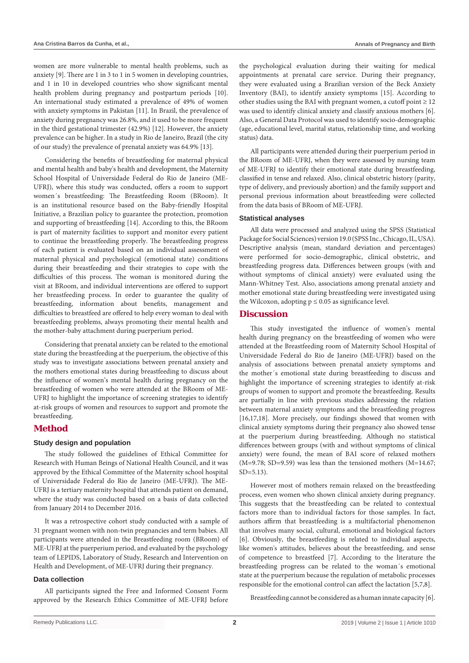women are more vulnerable to mental health problems, such as anxiety [9]. There are 1 in 3 to 1 in 5 women in developing countries, and 1 in 10 in developed countries who show significant mental health problem during pregnancy and postpartum periods [10]. An international study estimated a prevalence of 49% of women with anxiety symptoms in Pakistan [11]. In Brazil, the prevalence of anxiety during pregnancy was 26.8%, and it used to be more frequent in the third gestational trimester (42.9%) [12]. However, the anxiety prevalence can be higher. In a study in Rio de Janeiro, Brazil (the city of our study) the prevalence of prenatal anxiety was 64.9% [13].

Considering the benefits of breastfeeding for maternal physical and mental health and baby's health and development, the Maternity School Hospital of Universidade Federal do Rio de Janeiro (ME-UFRJ), where this study was conducted, offers a room to support women´s breastfeeding: The Breastfeeding Room (BRoom). It is an institutional resource based on the Baby-friendly Hospital Initiative, a Brazilian policy to guarantee the protection, promotion and supporting of breastfeeding [14]. According to this, the BRoom is part of maternity facilities to support and monitor every patient to continue the breastfeeding properly. The breastfeeding progress of each patient is evaluated based on an individual assessment of maternal physical and psychological (emotional state) conditions during their breastfeeding and their strategies to cope with the difficulties of this process. The woman is monitored during the visit at BRoom, and individual interventions are offered to support her breastfeeding process. In order to guarantee the quality of breastfeeding, information about benefits, management and difficulties to breastfeed are offered to help every woman to deal with breastfeeding problems, always promoting their mental health and the mother-baby attachment during puerperium period.

Considering that prenatal anxiety can be related to the emotional state during the breastfeeding at the puerperium, the objective of this study was to investigate associations between prenatal anxiety and the mothers emotional states during breastfeeding to discuss about the influence of women's mental health during pregnancy on the breastfeeding of women who were attended at the BRoom of ME-UFRJ to highlight the importance of screening strategies to identify at-risk groups of women and resources to support and promote the breastfeeding.

# **Method**

## **Study design and population**

The study followed the guidelines of Ethical Committee for Research with Human Beings of National Health Council, and it was approved by the Ethical Committee of the Maternity school hospital of Universidade Federal do Rio de Janeiro (ME-UFRJ). The ME-UFRJ is a tertiary maternity hospital that attends patient on demand, where the study was conducted based on a basis of data collected from January 2014 to December 2016.

It was a retrospective cohort study conducted with a sample of 31 pregnant women with non-twin pregnancies and term babies. All participants were attended in the Breastfeeding room (BRoom) of ME-UFRJ at the puerperium period, and evaluated by the psychology team of LEPIDS, Laboratory of Study, Research and Intervention on Health and Development, of ME-UFRJ during their pregnancy.

#### **Data collection**

All participants signed the Free and Informed Consent Form approved by the Research Ethics Committee of ME-UFRJ before the psychological evaluation during their waiting for medical appointments at prenatal care service. During their pregnancy, they were evaluated using a Brazilian version of the Beck Anxiety Inventory (BAI), to identify anxiety symptoms [15]. According to other studies using the BAI with pregnant women, a cutoff point  $\geq 12$ was used to identify clinical anxiety and classify anxious mothers [6]. Also, a General Data Protocol was used to identify socio-demographic (age, educational level, marital status, relationship time, and working status) data.

All participants were attended during their puerperium period in the BRoom of ME-UFRJ, when they were assessed by nursing team of ME-UFRJ to identify their emotional state during breastfeeding, classified in tense and relaxed. Also, clinical obstetric history (parity, type of delivery, and previously abortion) and the family support and personal previous information about breastfeeding were collected from the data basis of BRoom of ME-UFRJ.

#### **Statistical analyses**

All data were processed and analyzed using the SPSS (Statistical Package for Social Sciences) version 19.0 (SPSS Inc., Chicago, IL, USA). Descriptive analysis (mean, standard deviation and percentages) were performed for socio-demographic, clinical obstetric, and breastfeeding progress data. Differences between groups (with and without symptoms of clinical anxiety) were evaluated using the Mann-Whitney Test. Also, associations among prenatal anxiety and mother emotional state during breastfeeding were investigated using the Wilcoxon, adopting  $p \le 0.05$  as significance level.

# **Discussion**

This study investigated the influence of women's mental health during pregnancy on the breastfeeding of women who were attended at the Breastfeeding room of Maternity School Hospital of Universidade Federal do Rio de Janeiro (ME-UFRJ) based on the analysis of associations between prenatal anxiety symptoms and the mother´s emotional state during breastfeeding to discuss and highlight the importance of screening strategies to identify at-risk groups of women to support and promote the breastfeeding. Results are partially in line with previous studies addressing the relation between maternal anxiety symptoms and the breastfeeding progress [16,17,18]. More precisely, our findings showed that women with clinical anxiety symptoms during their pregnancy also showed tense at the puerperium during breastfeeding. Although no statistical differences between groups (with and without symptoms of clinical anxiety) were found, the mean of BAI score of relaxed mothers  $(M=9.78; SD=9.59)$  was less than the tensioned mothers  $(M=14.67;$  $SD = 5.13$ .

However most of mothers remain relaxed on the breastfeeding process, even women who shown clinical anxiety during pregnancy. This suggests that the breastfeeding can be related to contextual factors more than to individual factors for those samples. In fact, authors affirm that breastfeeding is a multifactorial phenomenon that involves many social, cultural, emotional and biological factors [6]. Obviously, the breastfeeding is related to individual aspects, like women's attitudes, believes about the breastfeeding, and sense of competence to breastfeed [7]. According to the literature the breastfeeding progress can be related to the woman´s emotional state at the puerperium because the regulation of metabolic processes responsible for the emotional control can affect the lactation [5,7,8].

Breastfeeding cannot be considered as a human innate capacity [6].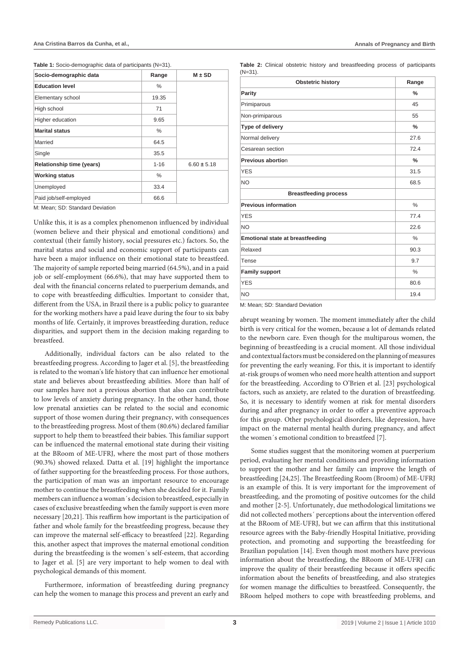**Table 1:** Socio-demographic data of participants (N=31).

| Socio-demographic data           | Range    | $M \pm SD$      |
|----------------------------------|----------|-----------------|
| <b>Education level</b>           | %        |                 |
| Elementary school                | 19.35    |                 |
| High school                      | 71       |                 |
| Higher education                 | 9.65     |                 |
| <b>Marital status</b>            | %        |                 |
| Married                          | 64.5     |                 |
| Single                           | 35.5     |                 |
| <b>Relationship time (years)</b> | $1 - 16$ | $6.60 \pm 5.18$ |
| <b>Working status</b>            | $\%$     |                 |
| Unemployed                       | 33.4     |                 |
| Paid job/self-employed           | 66.6     |                 |

M: Mean; SD: Standard Deviation

Unlike this, it is as a complex phenomenon influenced by individual (women believe and their physical and emotional conditions) and contextual (their family history, social pressures etc.) factors. So, the marital status and social and economic support of participants can have been a major influence on their emotional state to breastfeed. The majority of sample reported being married (64.5%), and in a paid job or self-employment (66.6%), that may have supported them to deal with the financial concerns related to puerperium demands, and to cope with breastfeeding difficulties. Important to consider that, different from the USA, in Brazil there is a public policy to guarantee for the working mothers have a paid leave during the four to six baby months of life. Certainly, it improves breastfeeding duration, reduce disparities, and support them in the decision making regarding to breastfeed.

Additionally, individual factors can be also related to the breastfeeding progress. According to Jager et al. [5], the breastfeeding is related to the woman's life history that can influence her emotional state and believes about breastfeeding abilities. More than half of our samples have not a previous abortion that also can contribute to low levels of anxiety during pregnancy. In the other hand, those low prenatal anxieties can be related to the social and economic support of those women during their pregnancy, with consequences to the breastfeeding progress. Most of them (80.6%) declared familiar support to help them to breastfeed their babies. This familiar support can be influenced the maternal emotional state during their visiting at the BRoom of ME-UFRJ, where the most part of those mothers (90.3%) showed relaxed. Datta et al. [19] highlight the importance of father supporting for the breastfeeding process. For those authors, the participation of man was an important resource to encourage mother to continue the breastfeeding when she decided for it. Family members can influence a woman´s decision to breastfeed, especially in cases of exclusive breastfeeding when the family support is even more necessary [20,21]. This reaffirm how important is the participation of father and whole family for the breastfeeding progress, because they can improve the maternal self-efficacy to breastfeed [22]. Regarding this, another aspect that improves the maternal emotional condition during the breastfeeding is the women´s self-esteem, that according to Jager et al. [5] are very important to help women to deal with psychological demands of this moment.

Furthermore, information of breastfeeding during pregnancy can help the women to manage this process and prevent an early and

**Table 2:** Clinical obstetric history and breastfeeding process of participants (N=31).

| <b>Obstetric history</b>                | Range         |
|-----------------------------------------|---------------|
| Parity                                  | $\frac{0}{0}$ |
| Primiparous                             | 45            |
| Non-primiparous                         | 55            |
| Type of delivery                        | $\%$          |
| Normal delivery                         | 27.6          |
| Cesarean section                        | 72.4          |
| Previous abortion                       | $\frac{0}{0}$ |
| <b>YES</b>                              | 31.5          |
| NO                                      | 68.5          |
| <b>Breastfeeding process</b>            |               |
| <b>Previous information</b>             | $\frac{0}{0}$ |
| <b>YES</b>                              | 77.4          |
| <b>NO</b>                               | 22.6          |
| <b>Emotional state at breastfeeding</b> | $\frac{0}{0}$ |
| Relaxed                                 | 90.3          |
| Tense                                   | 9.7           |
| <b>Family support</b>                   | $\frac{0}{0}$ |
| <b>YES</b>                              | 80.6          |
| NO                                      | 19.4          |

M: Mean; SD: Standard Deviation

abrupt weaning by women. The moment immediately after the child birth is very critical for the women, because a lot of demands related to the newborn care. Even though for the multiparous women, the beginning of breastfeeding is a crucial moment. All those individual and contextual factors must be considered on the planning of measures for preventing the early weaning. For this, it is important to identify at-risk groups of women who need more health attention and support for the breastfeeding. According to O'Brien et al. [23] psychological factors, such as anxiety, are related to the duration of breastfeeding. So, it is necessary to identify women at risk for mental disorders during and after pregnancy in order to offer a preventive approach for this group. Other psychological disorders, like depression, have impact on the maternal mental health during pregnancy, and affect the women´s emotional condition to breastfeed [7].

Some studies suggest that the monitoring women at puerperium period, evaluating her mental conditions and providing information to support the mother and her family can improve the length of breastfeeding [24,25]. The Breastfeeding Room (Broom) of ME-UFRJ is an example of this. It is very important for the improvement of breastfeeding, and the promoting of positive outcomes for the child and mother [2-5]. Unfortunately, due methodological limitations we did not collected mothers´ perceptions about the intervention offered at the BRoom of ME-UFRJ, but we can affirm that this institutional resource agrees with the Baby-friendly Hospital Initiative, providing protection, and promoting and supporting the breastfeeding for Brazilian population [14]. Even though most mothers have previous information about the breastfeeding, the BRoom of ME-UFRJ can improve the quality of their breastfeeding because it offers specific information about the benefits of breastfeeding, and also strategies for women manage the difficulties to breastfeed. Consequently, the BRoom helped mothers to cope with breastfeeding problems, and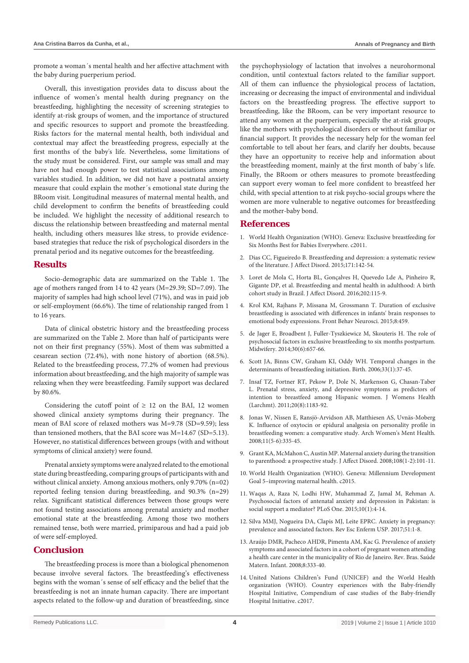promote a woman´s mental health and her affective attachment with the baby during puerperium period.

Overall, this investigation provides data to discuss about the influence of women's mental health during pregnancy on the breastfeeding, highlighting the necessity of screening strategies to identify at-risk groups of women, and the importance of structured and specific resources to support and promote the breastfeeding. Risks factors for the maternal mental health, both individual and contextual may affect the breastfeeding progress, especially at the first months of the baby's life. Nevertheless, some limitations of the study must be considered. First, our sample was small and may have not had enough power to test statistical associations among variables studied. In addition, we did not have a postnatal anxiety measure that could explain the mother´s emotional state during the BRoom visit. Longitudinal measures of maternal mental health, and child development to confirm the benefits of breastfeeding could be included. We highlight the necessity of additional research to discuss the relationship between breastfeeding and maternal mental health, including others measures like stress, to provide evidencebased strategies that reduce the risk of psychological disorders in the prenatal period and its negative outcomes for the breastfeeding.

# **Results**

Socio-demographic data are summarized on the Table 1. The age of mothers ranged from 14 to 42 years (M=29.39; SD=7.09). The majority of samples had high school level (71%), and was in paid job or self-employment (66.6%). The time of relationship ranged from 1 to 16 years.

Data of clinical obstetric history and the breastfeeding process are summarized on the Table 2. More than half of participants were not on their first pregnancy (55%). Most of them was submitted a cesarean section (72.4%), with none history of abortion (68.5%). Related to the breastfeeding process, 77.2% of women had previous information about breastfeeding, and the high majority of sample was relaxing when they were breastfeeding. Family support was declared by 80.6%.

Considering the cutoff point of  $\geq$  12 on the BAI, 12 women showed clinical anxiety symptoms during their pregnancy. The mean of BAI score of relaxed mothers was M=9.78 (SD=9.59); less than tensioned mothers, that the BAI score was M=14.67 (SD=5.13). However, no statistical differences between groups (with and without symptoms of clinical anxiety) were found.

Prenatal anxiety symptoms were analyzed related to the emotional state during breastfeeding, comparing groups of participants with and without clinical anxiety. Among anxious mothers, only 9.70% (n=02) reported feeling tension during breastfeeding, and 90.3% (n=29) relax. Significant statistical differences between those groups were not found testing associations among prenatal anxiety and mother emotional state at the breastfeeding. Among those two mothers remained tense, both were married, primiparous and had a paid job of were self-employed.

# **Conclusion**

The breastfeeding process is more than a biological phenomenon because involve several factors. The breastfeeding's effectiveness begins with the woman´s sense of self efficacy and the belief that the breastfeeding is not an innate human capacity. There are important aspects related to the follow-up and duration of breastfeeding, since

the psychophysiology of lactation that involves a neurohormonal condition, until contextual factors related to the familiar support. All of them can influence the physiological process of lactation, increasing or decreasing the impact of environmental and individual factors on the breastfeeding progress. The effective support to breastfeeding, like the BRoom, can be very important resource to attend any women at the puerperium, especially the at-risk groups, like the mothers with psychological disorders or without familiar or financial support. It provides the necessary help for the woman feel comfortable to tell about her fears, and clarify her doubts, because they have an opportunity to receive help and information about the breastfeeding moment, mainly at the first month of baby´s life. Finally, the BRoom or others measures to promote breastfeeding can support every woman to feel more confident to breastfeed her child, with special attention to at risk psycho-social groups where the women are more vulnerable to negative outcomes for breastfeeding and the mother-baby bond.

# **References**

- 1. [World Health Organization \(WHO\). Geneva:](https://www.who.int/mediacentre/news/statements/2011/breastfeeding_20110115/en/) Exclusive breastfeeding for [Six Months Best for Babies Everywhere. c2011.](https://www.who.int/mediacentre/news/statements/2011/breastfeeding_20110115/en/)
- 2. [Dias CC, Figueiredo B. Breastfeeding and depression: a systematic review](https://www.ncbi.nlm.nih.gov/pubmed/25305429)  [of the literature. J Affect Disord. 2015;171:142-54.](https://www.ncbi.nlm.nih.gov/pubmed/25305429)
- 3. [Loret de Mola C, Horta BL, Gonçalves H, Quevedo Lde A, Pinheiro R,](https://www.ncbi.nlm.nih.gov/pubmed/27261841)  [Gigante DP, et al. Breastfeeding and mental health in adulthood: A birth](https://www.ncbi.nlm.nih.gov/pubmed/27261841)  [cohort study in Brazil. J Affect Disord. 2016;202:115-9.](https://www.ncbi.nlm.nih.gov/pubmed/27261841)
- 4. [Krol KM, Rajhans P, Missana M, Grossmann T. Duration of exclusive](https://www.ncbi.nlm.nih.gov/pubmed/25657620)  [breastfeeding is associated with differences in infants' brain responses to](https://www.ncbi.nlm.nih.gov/pubmed/25657620)  [emotional body expressions. Front Behav Neurosci. 2015;8:459.](https://www.ncbi.nlm.nih.gov/pubmed/25657620)
- 5. [de Jager E, Broadbent J, Fuller-Tyszkiewicz M, Skouteris H. The role of](https://www.ncbi.nlm.nih.gov/pubmed/23932036)  [psychosocial factors in exclusive breastfeeding to six months postpartum.](https://www.ncbi.nlm.nih.gov/pubmed/23932036)  [Midwifery. 2014;30\(6\):657-66.](https://www.ncbi.nlm.nih.gov/pubmed/23932036)
- 6. [Scott JA, Binns CW, Graham KI, Oddy WH. Temporal changes in the](https://www.ncbi.nlm.nih.gov/pubmed/16499530)  [determinants of breastfeeding initiation. Birth. 2006;33\(1\):37-45.](https://www.ncbi.nlm.nih.gov/pubmed/16499530)
- 7. [Insaf TZ, Fortner RT, Pekow P, Dole N, Markenson G, Chasan-Taber](https://www.ncbi.nlm.nih.gov/pubmed/21668379)  [L. Prenatal stress, anxiety, and depressive symptoms as predictors of](https://www.ncbi.nlm.nih.gov/pubmed/21668379)  [intention to breastfeed among Hispanic women. J Womens Health](https://www.ncbi.nlm.nih.gov/pubmed/21668379)  [\(Larchmt\). 2011;20\(8\):1183-92.](https://www.ncbi.nlm.nih.gov/pubmed/21668379)
- 8. [Jonas W, Nissen E, Ransjö-Arvidson AB, Matthiesen AS, Uvnäs-Moberg](https://www.ncbi.nlm.nih.gov/pubmed/18726143)  [K. Influence of oxytocin or epidural analgesia on personality profile in](https://www.ncbi.nlm.nih.gov/pubmed/18726143)  [breastfeeding women: a comparative study. Arch Women's Ment Health.](https://www.ncbi.nlm.nih.gov/pubmed/18726143)  [2008;11\(5-6\):335-45.](https://www.ncbi.nlm.nih.gov/pubmed/18726143)
- 9. [Grant KA, McMahon C, Austin MP. Maternal anxiety during the transition](https://www.ncbi.nlm.nih.gov/pubmed/18001841)  [to parenthood: a prospective study. J Affect Disord. 2008;108\(1-2\):101-11.](https://www.ncbi.nlm.nih.gov/pubmed/18001841)
- 10. [World Health Organization \(WHO\).](https://www.who.int/topics/millennium_development_goals/maternal_health/en/) Geneva: Millennium Development [Goal 5–improving maternal health. c2015.](https://www.who.int/topics/millennium_development_goals/maternal_health/en/)
- 11. [Waqas A, Raza N, Lodhi HW, Muhammad Z, Jamal M, Rehman A.](https://www.ncbi.nlm.nih.gov/pubmed/25629925)  [Psychosocial factors of antenatal anxiety and depression in Pakistan: is](https://www.ncbi.nlm.nih.gov/pubmed/25629925)  [social support a mediator? PLoS One. 2015;10\(1\):4-14.](https://www.ncbi.nlm.nih.gov/pubmed/25629925)
- 12. [Silva MMJ, Nogueira DA, Clapis MJ, Leite EPRC. Anxiety in pregnancy:](https://www.ncbi.nlm.nih.gov/pubmed/28902327)  [prevalence and associated factors. Rev Esc Enferm USP. 2017;51:1-8.](https://www.ncbi.nlm.nih.gov/pubmed/28902327)
- 13. [Araújo DMR, Pacheco AHDR, Pimenta AM, Kac G. Prevalence of anxiety](http://www.scielo.br/scielo.php?script=sci_arttext&pid=S1519-38292008000300013)  [symptoms and associated factors in a cohort of pregnant women attending](http://www.scielo.br/scielo.php?script=sci_arttext&pid=S1519-38292008000300013)  [a health care center in the municipality of Rio de Janeiro. Rev. Bras. Saúde](http://www.scielo.br/scielo.php?script=sci_arttext&pid=S1519-38292008000300013)  [Matern. Infant. 2008;8:333-40.](http://www.scielo.br/scielo.php?script=sci_arttext&pid=S1519-38292008000300013)
- 14. [United Nations Children's Fund \(UNICEF\) and the World Health](https://www.unicef.org/nutrition/files/BFHI_Case_Studies_FINAL.pdf)  [organization \(WHO\). Country experiences with the Baby-friendly](https://www.unicef.org/nutrition/files/BFHI_Case_Studies_FINAL.pdf)  [Hospital Initiative, Compendium of case studies of the Baby-friendly](https://www.unicef.org/nutrition/files/BFHI_Case_Studies_FINAL.pdf)  [Hospital Initiative.](https://www.unicef.org/nutrition/files/BFHI_Case_Studies_FINAL.pdf) c2017.